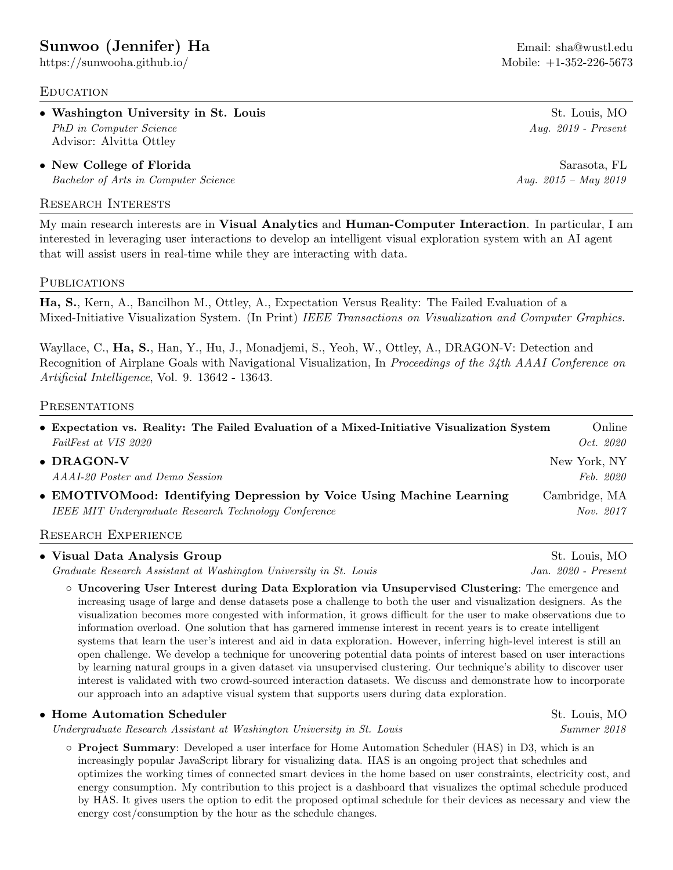# [Sunwoo \(Jennifer\) Ha](https://github.com/sunwooha) **Email:** [sha@wustl.edu](mailto:sha@wustl.edu)

<https://sunwooha.github.io/> Mobile: +1-352-226-5673

## **EDUCATION**

• Washington University in St. Louis St. Louis St. Louis, MO PhD in Computer Science Aug. 2019 - Present Advisor: Alvitta Ottley

• New College of Florida Sarasota, FL Bachelor of Arts in Computer Science Aug. 2015 – May 2019

#### Research Interests

My main research interests are in Visual Analytics and Human-Computer Interaction. In particular, I am interested in leveraging user interactions to develop an intelligent visual exploration system with an AI agent that will assist users in real-time while they are interacting with data.

#### **PUBLICATIONS**

Ha, S., Kern, A., Bancilhon M., Ottley, A., Expectation Versus Reality: The Failed Evaluation of a Mixed-Initiative Visualization System. (In Print) IEEE Transactions on Visualization and Computer Graphics.

Wayllace, C., Ha, S., Han, Y., Hu, J., Monadjemi, S., Yeoh, W., Ottley, A., DRAGON-V: Detection and Recognition of Airplane Goals with Navigational Visualization, In Proceedings of the 34th AAAI Conference on Artificial Intelligence, Vol. 9. 13642 - 13643.

#### **PRESENTATIONS**

| • Expectation vs. Reality: The Failed Evaluation of a Mixed-Initiative Visualization System | Online           |
|---------------------------------------------------------------------------------------------|------------------|
| FailFest at VIS 2020                                                                        | <i>Oct.</i> 2020 |
| $\bullet$ DRAGON-V                                                                          | New York, NY     |
| AAAI-20 Poster and Demo Session                                                             | Feb. 2020        |
| • EMOTIVOMood: Identifying Depression by Voice Using Machine Learning                       | Cambridge, MA    |
| IEEE MIT Undergraduate Research Technology Conference                                       | Nov. 2017        |
|                                                                                             |                  |

#### Research Experience

#### • Visual Data Analysis Group St. Louis, MO

Graduate Research Assistant at Washington University in St. Louis Jan. 2020 - Present

◦ Uncovering User Interest during Data Exploration via Unsupervised Clustering: The emergence and increasing usage of large and dense datasets pose a challenge to both the user and visualization designers. As the visualization becomes more congested with information, it grows difficult for the user to make observations due to information overload. One solution that has garnered immense interest in recent years is to create intelligent systems that learn the user's interest and aid in data exploration. However, inferring high-level interest is still an open challenge. We develop a technique for uncovering potential data points of interest based on user interactions by learning natural groups in a given dataset via unsupervised clustering. Our technique's ability to discover user interest is validated with two crowd-sourced interaction datasets. We discuss and demonstrate how to incorporate our approach into an adaptive visual system that supports users during data exploration.

#### • Home Automation Scheduler St. Louis, MO

Undergraduate Research Assistant at Washington University in St. Louis Summer 2018

◦ Project Summary: Developed a user interface for Home Automation Scheduler (HAS) in D3, which is an increasingly popular JavaScript library for visualizing data. HAS is an ongoing project that schedules and optimizes the working times of connected smart devices in the home based on user constraints, electricity cost, and energy consumption. My contribution to this project is a dashboard that visualizes the optimal schedule produced by HAS. It gives users the option to edit the proposed optimal schedule for their devices as necessary and view the energy cost/consumption by the hour as the schedule changes.